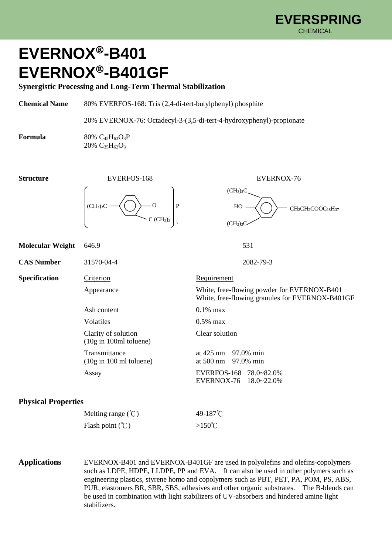## **EVERNOX-B401 EVERNOX-B401GF**

**Synergistic Processing and Long-Term Thermal Stabilization**

| <b>Chemical Name</b>       | 80% EVERFOS-168: Tris (2,4-di-tert-butylphenyl) phosphite<br>20% EVERNOX-76: Octadecyl-3-(3,5-di-tert-4-hydroxyphenyl)-propionate |                                                                                                                                                    |
|----------------------------|-----------------------------------------------------------------------------------------------------------------------------------|----------------------------------------------------------------------------------------------------------------------------------------------------|
|                            |                                                                                                                                   |                                                                                                                                                    |
| Formula                    | 80% C <sub>42</sub> H <sub>63</sub> O <sub>3</sub> P<br>$20\%$ C <sub>35</sub> H <sub>62</sub> O <sub>3</sub>                     |                                                                                                                                                    |
| <b>Structure</b>           | EVERFOS-168                                                                                                                       | EVERNOX-76                                                                                                                                         |
|                            | - 0<br>$\mathbf{P}$<br>(CH <sub>3</sub> ) <sub>3</sub> C<br>C(GH <sub>3</sub> ) <sub>3</sub>                                      | (CH <sub>3</sub> ) <sub>3</sub> C<br>HO<br>CH <sub>2</sub> CH <sub>2</sub> COOC <sub>18</sub> H <sub>37</sub><br>(CH <sub>3</sub> ) <sub>3</sub> C |
| <b>Molecular Weight</b>    | 646.9                                                                                                                             | 531                                                                                                                                                |
| <b>CAS Number</b>          | 31570-04-4                                                                                                                        | 2082-79-3                                                                                                                                          |
| Specification              | Criterion                                                                                                                         | Requirement                                                                                                                                        |
|                            | Appearance                                                                                                                        | White, free-flowing powder for EVERNOX-B401<br>White, free-flowing granules for EVERNOX-B401GF                                                     |
|                            | Ash content                                                                                                                       | $0.1\%$ max                                                                                                                                        |
|                            | Volatiles                                                                                                                         | $0.5\%$ max                                                                                                                                        |
|                            | Clarity of solution<br>(10g in 100ml toluene)                                                                                     | Clear solution                                                                                                                                     |
|                            | Transmittance<br>$(10g \text{ in } 100 \text{ ml}$ toluene)                                                                       | at 425 nm<br>97.0% min<br>at 500 nm<br>97.0% min                                                                                                   |
|                            | Assay                                                                                                                             | EVERFOS-168<br>78.0~82.0%<br>EVERNOX-76<br>18.0~22.0%                                                                                              |
| <b>Physical Properties</b> |                                                                                                                                   |                                                                                                                                                    |
|                            | Melting range $({\degree}C)$                                                                                                      | 49-187°C                                                                                                                                           |
|                            | Flash point $({}^{\circ}\mathcal{C})$                                                                                             | > $150^{\circ}$ C                                                                                                                                  |

**Applications** EVERNOX-B401 and EVERNOX-B401GF are used in polyolefins and olefins-copolymers such as LDPE, HDPE, LLDPE, PP and EVA. It can also be used in other polymers such as engineering plastics, styrene homo and copolymers such as PBT, PET, PA, POM, PS, ABS, PUR, elastomers BR, SBR, SBS, adhesives and other organic substrates. The B-blends can be used in combination with light stabilizers of UV-absorbers and hindered amine light stabilizers.